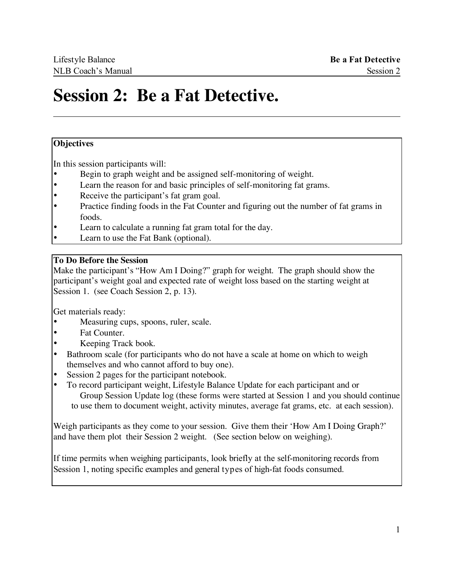### **Session 2: Be a Fat Detective.**

### **Objectives**

In this session participants will:

- Begin to graph weight and be assigned self-monitoring of weight.
- Learn the reason for and basic principles of self-monitoring fat grams.
- Receive the participant's fat gram goal.
- Practice finding foods in the Fat Counter and figuring out the number of fat grams in foods.
- Learn to calculate a running fat gram total for the day.
- Learn to use the Fat Bank (optional).

### **To Do Before the Session**

Make the participant's "How Am I Doing?" graph for weight. The graph should show the participant's weight goal and expected rate of weight loss based on the starting weight at Session 1. (see Coach Session 2, p. 13).

Get materials ready:

- Measuring cups, spoons, ruler, scale.
- Fat Counter.
- Keeping Track book.
- Bathroom scale (for participants who do not have a scale at home on which to weigh themselves and who cannot afford to buy one).
- Session 2 pages for the participant notebook.
- To record participant weight, Lifestyle Balance Update for each participant and or Group Session Update log (these forms were started at Session 1 and you should continue to use them to document weight, activity minutes, average fat grams, etc. at each session).

Weigh participants as they come to your session. Give them their 'How Am I Doing Graph?' and have them plot their Session 2 weight. (See section below on weighing).

If time permits when weighing participants, look briefly at the self-monitoring records from Session 1, noting specific examples and general types of high-fat foods consumed.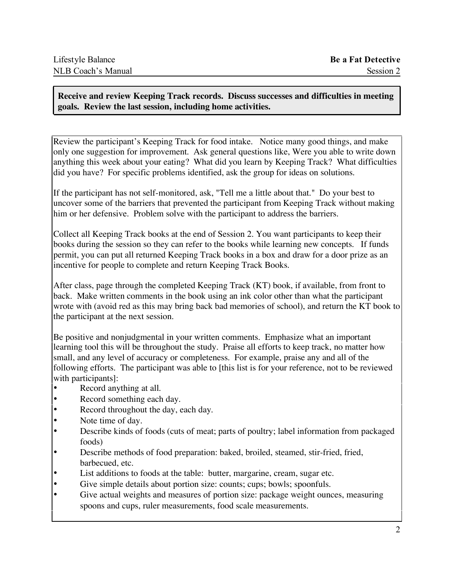**Receive and review Keeping Track records. Discuss successes and difficulties in meeting goals. Review the last session, including home activities.**

Review the participant's Keeping Track for food intake. Notice many good things, and make only one suggestion for improvement. Ask general questions like, Were you able to write down anything this week about your eating? What did you learn by Keeping Track? What difficulties did you have? For specific problems identified, ask the group for ideas on solutions.

If the participant has not self-monitored, ask, "Tell me a little about that." Do your best to uncover some of the barriers that prevented the participant from Keeping Track without making him or her defensive. Problem solve with the participant to address the barriers.

Collect all Keeping Track books at the end of Session 2. You want participants to keep their books during the session so they can refer to the books while learning new concepts. If funds permit, you can put all returned Keeping Track books in a box and draw for a door prize as an incentive for people to complete and return Keeping Track Books.

After class, page through the completed Keeping Track (KT) book, if available, from front to back. Make written comments in the book using an ink color other than what the participant wrote with (avoid red as this may bring back bad memories of school), and return the KT book to the participant at the next session.

Be positive and nonjudgmental in your written comments. Emphasize what an important learning tool this will be throughout the study. Praise all efforts to keep track, no matter how small, and any level of accuracy or completeness. For example, praise any and all of the following efforts. The participant was able to [this list is for your reference, not to be reviewed with participants]:

- Record anything at all.
- Record something each day.
- Record throughout the day, each day.
- Note time of day.
- Describe kinds of foods (cuts of meat; parts of poultry; label information from packaged foods)
- Describe methods of food preparation: baked, broiled, steamed, stir-fried, fried, barbecued, etc.
- List additions to foods at the table: butter, margarine, cream, sugar etc.
- Give simple details about portion size: counts; cups; bowls; spoonfuls.
- Give actual weights and measures of portion size: package weight ounces, measuring spoons and cups, ruler measurements, food scale measurements.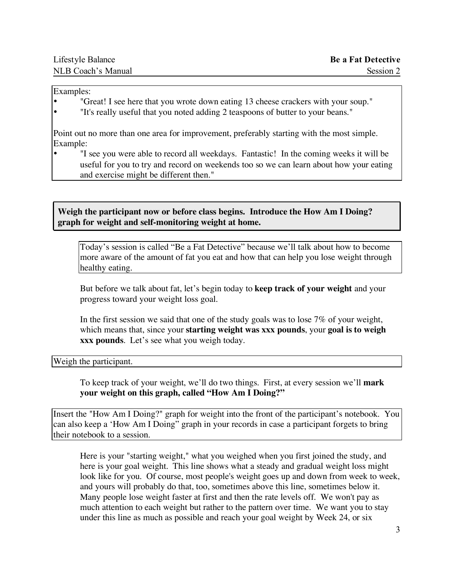| Lifestyle Balance  | <b>Be a Fat Detective</b> |
|--------------------|---------------------------|
| NLB Coach's Manual | Session 2                 |

### Examples:

- "Great! I see here that you wrote down eating 13 cheese crackers with your soup."
- "It's really useful that you noted adding 2 teaspoons of butter to your beans."

Point out no more than one area for improvement, preferably starting with the most simple. Example:

• "I see you were able to record all weekdays. Fantastic! In the coming weeks it will be useful for you to try and record on weekends too so we can learn about how your eating and exercise might be different then."

**Weigh the participant now or before class begins. Introduce the How Am I Doing? graph for weight and self-monitoring weight at home.**

Today's session is called "Be a Fat Detective" because we'll talk about how to become more aware of the amount of fat you eat and how that can help you lose weight through healthy eating.

But before we talk about fat, let's begin today to **keep track of your weight** and your progress toward your weight loss goal.

In the first session we said that one of the study goals was to lose  $7\%$  of your weight, which means that, since your **starting weight was xxx pounds**, your **goal is to weigh xxx pounds**. Let's see what you weigh today.

Weigh the participant.

To keep track of your weight, we'll do two things. First, at every session we'll **mark your weight on this graph, called "How Am I Doing?"** 

Insert the "How Am I Doing?" graph for weight into the front of the participant's notebook. You can also keep a 'How Am I Doing" graph in your records in case a participant forgets to bring their notebook to a session.

Here is your "starting weight," what you weighed when you first joined the study, and here is your goal weight. This line shows what a steady and gradual weight loss might look like for you. Of course, most people's weight goes up and down from week to week, and yours will probably do that, too, sometimes above this line, sometimes below it. Many people lose weight faster at first and then the rate levels off. We won't pay as much attention to each weight but rather to the pattern over time. We want you to stay under this line as much as possible and reach your goal weight by Week 24, or six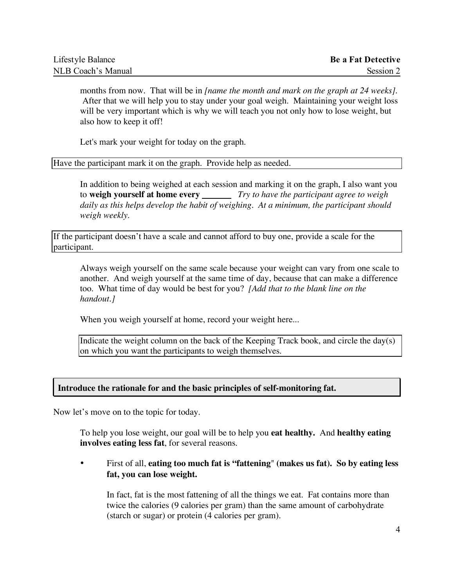| Lifestyle Balance  | <b>Be a Fat Detective</b> |
|--------------------|---------------------------|
| NLB Coach's Manual | Session 2                 |

months from now. That will be in *[name the month and mark on the graph at 24 weeks].* After that we will help you to stay under your goal weigh. Maintaining your weight loss will be very important which is why we will teach you not only how to lose weight, but also how to keep it off!

Let's mark your weight for today on the graph.

Have the participant mark it on the graph. Provide help as needed.

In addition to being weighed at each session and marking it on the graph, I also want you to **weigh yourself at home every** *Try to have the participant agree to weigh daily as this helps develop the habit of weighing. At a minimum, the participant should weigh weekly.*

If the participant doesn't have a scale and cannot afford to buy one, provide a scale for the participant.

Always weigh yourself on the same scale because your weight can vary from one scale to another. And weigh yourself at the same time of day, because that can make a difference too. What time of day would be best for you? *[Add that to the blank line on the handout.]*

When you weigh yourself at home, record your weight here...

Indicate the weight column on the back of the Keeping Track book, and circle the day(s) on which you want the participants to weigh themselves.

### **Introduce the rationale for and the basic principles of self-monitoring fat.**

Now let's move on to the topic for today.

To help you lose weight, our goal will be to help you **eat healthy.** And **healthy eating involves eating less fat**, for several reasons.

• First of all, **eating too much fat is "fattening**" **(makes us fat). So by eating less fat, you can lose weight.**

In fact, fat is the most fattening of all the things we eat. Fat contains more than twice the calories (9 calories per gram) than the same amount of carbohydrate (starch or sugar) or protein (4 calories per gram).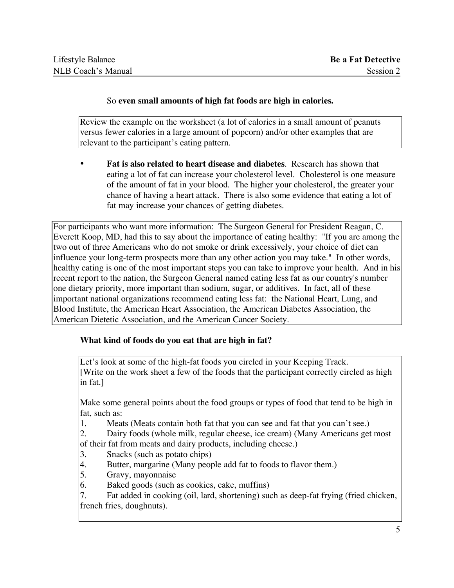### So **even small amounts of high fat foods are high in calories.**

Review the example on the worksheet (a lot of calories in a small amount of peanuts versus fewer calories in a large amount of popcorn) and/or other examples that are relevant to the participant's eating pattern.

• **Fat is also related to heart disease and diabetes**. Research has shown that eating a lot of fat can increase your cholesterol level. Cholesterol is one measure of the amount of fat in your blood. The higher your cholesterol, the greater your chance of having a heart attack. There is also some evidence that eating a lot of fat may increase your chances of getting diabetes.

For participants who want more information: The Surgeon General for President Reagan, C. Everett Koop, MD, had this to say about the importance of eating healthy: "If you are among the two out of three Americans who do not smoke or drink excessively, your choice of diet can influence your long-term prospects more than any other action you may take." In other words, healthy eating is one of the most important steps you can take to improve your health. And in his recent report to the nation, the Surgeon General named eating less fat as our country's number one dietary priority, more important than sodium, sugar, or additives. In fact, all of these important national organizations recommend eating less fat: the National Heart, Lung, and Blood Institute, the American Heart Association, the American Diabetes Association, the American Dietetic Association, and the American Cancer Society.

### **What kind of foods do you eat that are high in fat?**

Let's look at some of the high-fat foods you circled in your Keeping Track. [Write on the work sheet a few of the foods that the participant correctly circled as high in fat.]

Make some general points about the food groups or types of food that tend to be high in fat, such as:

1. Meats (Meats contain both fat that you can see and fat that you can't see.)

2. Dairy foods (whole milk, regular cheese, ice cream) (Many Americans get most of their fat from meats and dairy products, including cheese.)

- 3. Snacks (such as potato chips)
- 4. Butter, margarine (Many people add fat to foods to flavor them.)<br>5. Gravy, mayonnaise
- 5. Gravy, mayonnaise
- 6. Baked goods (such as cookies, cake, muffins)

7. Fat added in cooking (oil, lard, shortening) such as deep-fat frying (fried chicken, french fries, doughnuts).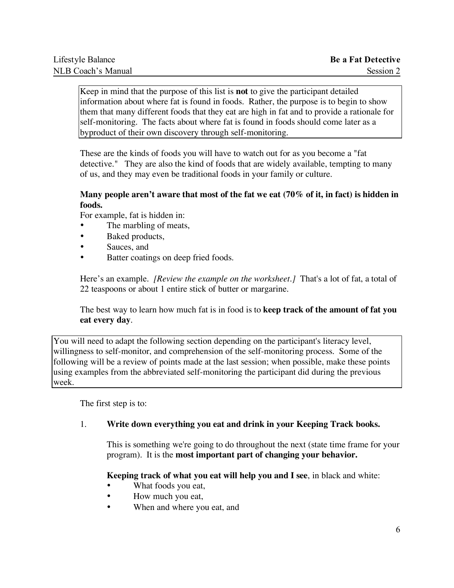Keep in mind that the purpose of this list is **not** to give the participant detailed information about where fat is found in foods. Rather, the purpose is to begin to show them that many different foods that they eat are high in fat and to provide a rationale for self-monitoring. The facts about where fat is found in foods should come later as a byproduct of their own discovery through self-monitoring.

These are the kinds of foods you will have to watch out for as you become a "fat detective." They are also the kind of foods that are widely available, tempting to many of us, and they may even be traditional foods in your family or culture.

### **Many people aren't aware that most of the fat we eat (70% of it, in fact) is hidden in foods.**

For example, fat is hidden in:

- The marbling of meats,
- Baked products,
- Sauces, and
- Batter coatings on deep fried foods.

Here's an example. *[Review the example on the worksheet.]* That's a lot of fat, a total of 22 teaspoons or about 1 entire stick of butter or margarine.

The best way to learn how much fat is in food is to **keep track of the amount of fat you eat every day**.

You will need to adapt the following section depending on the participant's literacy level, willingness to self-monitor, and comprehension of the self-monitoring process. Some of the following will be a review of points made at the last session; when possible, make these points using examples from the abbreviated self-monitoring the participant did during the previous week.

The first step is to:

### 1. **Write down everything you eat and drink in your Keeping Track books.**

This is something we're going to do throughout the next (state time frame for your program). It is the **most important part of changing your behavior.**

### **Keeping track of what you eat will help you and I see**, in black and white:

- What foods you eat,
- How much you eat,
- When and where you eat, and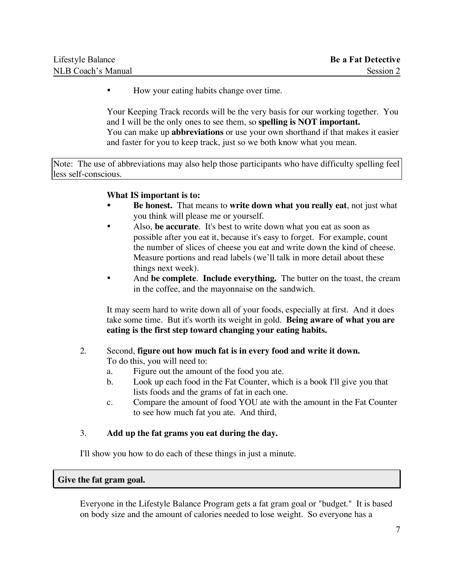| Lifestyle Balance  | <b>Be a Fat Detective</b> |
|--------------------|---------------------------|
| NLB Coach's Manual | Session 2                 |

• How your eating habits change over time.

Your Keeping Track records will be the very basis for our working together. You and I will be the only ones to see them, so **spelling is NOT important.** You can make up **abbreviations** or use your own shorthand if that makes it easier and faster for you to keep track, just so we both know what you mean.

Note: The use of abbreviations may also help those participants who have difficulty spelling feel less self-conscious.

### **What IS important is to:**

- **Be honest.** That means to **write down what you really eat**, not just what you think will please me or yourself.
- Also, **be accurate**. It's best to write down what you eat as soon as possible after you eat it, because it's easy to forget. For example, count the number of slices of cheese you eat and write down the kind of cheese. Measure portions and read labels (we'll talk in more detail about these things next week).
- And **be complete**. **Include everything.** The butter on the toast, the cream in the coffee, and the mayonnaise on the sandwich.

It may seem hard to write down all of your foods, especially at first. And it does take some time. But it's worth its weight in gold. **Being aware of what you are eating is the first step toward changing your eating habits.**

### 2. Second, **figure out how much fat is in every food and write it down.** To do this, you will need to:

- a. Figure out the amount of the food you ate.
- b. Look up each food in the Fat Counter, which is a book I'll give you that lists foods and the grams of fat in each one.
- c. Compare the amount of food YOU ate with the amount in the Fat Counter to see how much fat you ate. And third,

### 3. **Add up the fat grams you eat during the day.**

I'll show you how to do each of these things in just a minute.

### **Give the fat gram goal.**

Everyone in the Lifestyle Balance Program gets a fat gram goal or "budget." It is based on body size and the amount of calories needed to lose weight. So everyone has a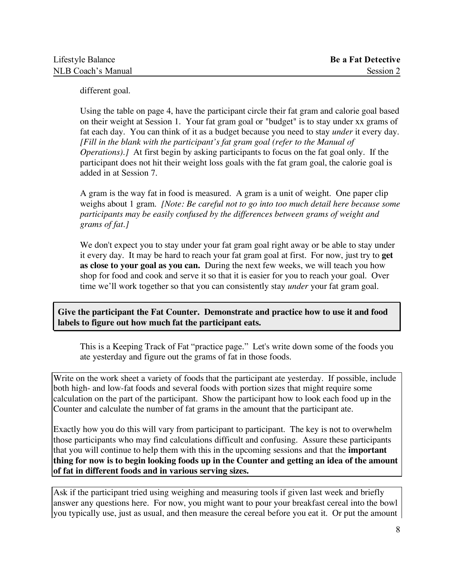different goal.

Using the table on page 4, have the participant circle their fat gram and calorie goal based on their weight at Session 1. Your fat gram goal or "budget" is to stay under xx grams of fat each day. You can think of it as a budget because you need to stay *under* it every day. *[Fill in the blank with the participant's fat gram goal (refer to the Manual of Operations).]* At first begin by asking participants to focus on the fat goal only. If the participant does not hit their weight loss goals with the fat gram goal, the calorie goal is added in at Session 7.

A gram is the way fat in food is measured. A gram is a unit of weight. One paper clip weighs about 1 gram. *[Note: Be careful not to go into too much detail here because some participants may be easily confused by the differences between grams of weight and grams of fat.]*

We don't expect you to stay under your fat gram goal right away or be able to stay under it every day. It may be hard to reach your fat gram goal at first. For now, just try to **get as close to your goal as you can.** During the next few weeks, we will teach you how shop for food and cook and serve it so that it is easier for you to reach your goal. Over time we'll work together so that you can consistently stay *under* your fat gram goal.

**Give the participant the Fat Counter. Demonstrate and practice how to use it and food labels to figure out how much fat the participant eats.**

This is a Keeping Track of Fat "practice page." Let's write down some of the foods you ate yesterday and figure out the grams of fat in those foods.

Write on the work sheet a variety of foods that the participant ate yesterday. If possible, include both high- and low-fat foods and several foods with portion sizes that might require some calculation on the part of the participant. Show the participant how to look each food up in the Counter and calculate the number of fat grams in the amount that the participant ate.

Exactly how you do this will vary from participant to participant. The key is not to overwhelm those participants who may find calculations difficult and confusing. Assure these participants that you will continue to help them with this in the upcoming sessions and that the **important thing for now is to begin looking foods up in the Counter and getting an idea of the amount of fat in different foods and in various serving sizes.**

Ask if the participant tried using weighing and measuring tools if given last week and briefly answer any questions here. For now, you might want to pour your breakfast cereal into the bowl you typically use, just as usual, and then measure the cereal before you eat it. Or put the amount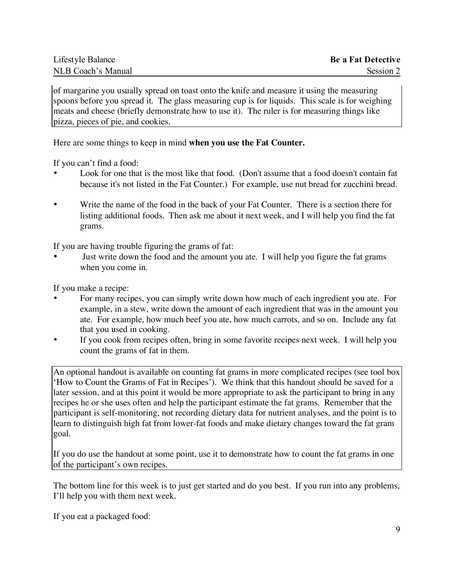of margarine you usually spread on toast onto the knife and measure it using the measuring spoons before you spread it. The glass measuring cup is for liquids. This scale is for weighing meats and cheese (briefly demonstrate how to use it). The ruler is for measuring things like pizza, pieces of pie, and cookies.

Here are some things to keep in mind **when you use the Fat Counter.**

If you can't find a food:

- Look for one that is the most like that food. (Don't assume that a food doesn't contain fat because it's not listed in the Fat Counter.) For example, use nut bread for zucchini bread.
- Write the name of the food in the back of your Fat Counter. There is a section there for listing additional foods. Then ask me about it next week, and I will help you find the fat grams.

If you are having trouble figuring the grams of fat:

Just write down the food and the amount you ate. I will help you figure the fat grams when you come in.

If you make a recipe:

- For many recipes, you can simply write down how much of each ingredient you ate. For example, in a stew, write down the amount of each ingredient that was in the amount you ate. For example, how much beef you ate, how much carrots, and so on. Include any fat that you used in cooking.
- If you cook from recipes often, bring in some favorite recipes next week. I will help you count the grams of fat in them.

An optional handout is available on counting fat grams in more complicated recipes (see tool box 'How to Count the Grams of Fat in Recipes'). We think that this handout should be saved for a later session, and at this point it would be more appropriate to ask the participant to bring in any recipes he or she uses often and help the participant estimate the fat grams. Remember that the participant is self-monitoring, not recording dietary data for nutrient analyses, and the point is to learn to distinguish high fat from lower-fat foods and make dietary changes toward the fat gram goal.

If you do use the handout at some point, use it to demonstrate how to count the fat grams in one of the participant's own recipes.

The bottom line for this week is to just get started and do you best. If you run into any problems, I'll help you with them next week.

If you eat a packaged food: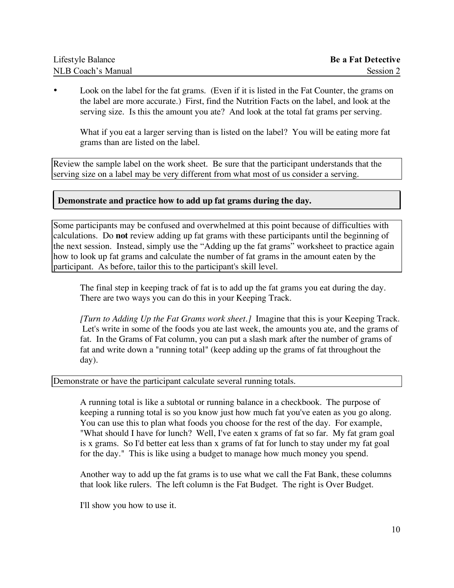| Lifestyle Balance  | <b>Be a Fat Detective</b> |
|--------------------|---------------------------|
| NLB Coach's Manual | Session 2                 |

Look on the label for the fat grams. (Even if it is listed in the Fat Counter, the grams on the label are more accurate.) First, find the Nutrition Facts on the label, and look at the serving size. Is this the amount you ate? And look at the total fat grams per serving.

What if you eat a larger serving than is listed on the label? You will be eating more fat grams than are listed on the label.

Review the sample label on the work sheet. Be sure that the participant understands that the serving size on a label may be very different from what most of us consider a serving.

### **Demonstrate and practice how to add up fat grams during the day.**

Some participants may be confused and overwhelmed at this point because of difficulties with calculations. Do **not** review adding up fat grams with these participants until the beginning of the next session. Instead, simply use the "Adding up the fat grams" worksheet to practice again how to look up fat grams and calculate the number of fat grams in the amount eaten by the participant. As before, tailor this to the participant's skill level.

The final step in keeping track of fat is to add up the fat grams you eat during the day. There are two ways you can do this in your Keeping Track.

*[Turn to Adding Up the Fat Grams work sheet.]* Imagine that this is your Keeping Track. Let's write in some of the foods you ate last week, the amounts you ate, and the grams of fat. In the Grams of Fat column, you can put a slash mark after the number of grams of fat and write down a "running total" (keep adding up the grams of fat throughout the day).

Demonstrate or have the participant calculate several running totals.

A running total is like a subtotal or running balance in a checkbook. The purpose of keeping a running total is so you know just how much fat you've eaten as you go along. You can use this to plan what foods you choose for the rest of the day. For example, "What should I have for lunch? Well, I've eaten x grams of fat so far. My fat gram goal is x grams. So I'd better eat less than x grams of fat for lunch to stay under my fat goal for the day." This is like using a budget to manage how much money you spend.

Another way to add up the fat grams is to use what we call the Fat Bank, these columns that look like rulers. The left column is the Fat Budget. The right is Over Budget.

I'll show you how to use it.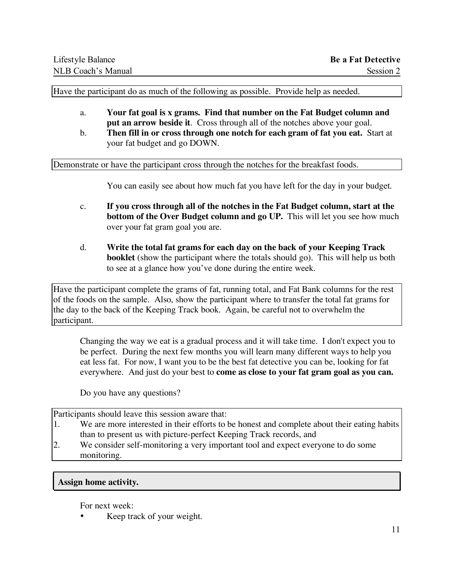Have the participant do as much of the following as possible. Provide help as needed.

- a. **Your fat goal is x grams. Find that number on the Fat Budget column and put an arrow beside it**. Cross through all of the notches above your goal.
- b. **Then fill in or cross through one notch for each gram of fat you eat.** Start at your fat budget and go DOWN.

Demonstrate or have the participant cross through the notches for the breakfast foods.

You can easily see about how much fat you have left for the day in your budget.

- c. **If you cross through all of the notches in the Fat Budget column, start at the bottom of the Over Budget column and go UP.** This will let you see how much over your fat gram goal you are.
- d. **Write the total fat grams for each day on the back of your Keeping Track booklet** (show the participant where the totals should go). This will help us both to see at a glance how you've done during the entire week.

Have the participant complete the grams of fat, running total, and Fat Bank columns for the rest of the foods on the sample. Also, show the participant where to transfer the total fat grams for the day to the back of the Keeping Track book. Again, be careful not to overwhelm the participant.

Changing the way we eat is a gradual process and it will take time. I don't expect you to be perfect. During the next few months you will learn many different ways to help you eat less fat. For now, I want you to be the best fat detective you can be, looking for fat everywhere. And just do your best to **come as close to your fat gram goal as you can.**

Do you have any questions?

Participants should leave this session aware that:

- 1. We are more interested in their efforts to be honest and complete about their eating habits than to present us with picture-perfect Keeping Track records, and
- 2. We consider self-monitoring a very important tool and expect everyone to do some monitoring.

### **Assign home activity.**

For next week:

Keep track of your weight.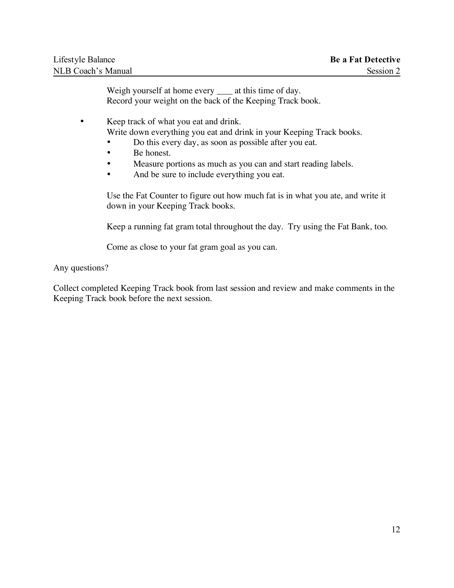Weigh yourself at home every \_\_\_\_\_ at this time of day. Record your weight on the back of the Keeping Track book.

• Keep track of what you eat and drink. Write down everything you eat and drink in your Keeping Track books.

- Do this every day, as soon as possible after you eat.
- Be honest.
- Measure portions as much as you can and start reading labels.
- And be sure to include everything you eat.

Use the Fat Counter to figure out how much fat is in what you ate, and write it down in your Keeping Track books.

Keep a running fat gram total throughout the day. Try using the Fat Bank, too.

Come as close to your fat gram goal as you can.

### Any questions?

Collect completed Keeping Track book from last session and review and make comments in the Keeping Track book before the next session.